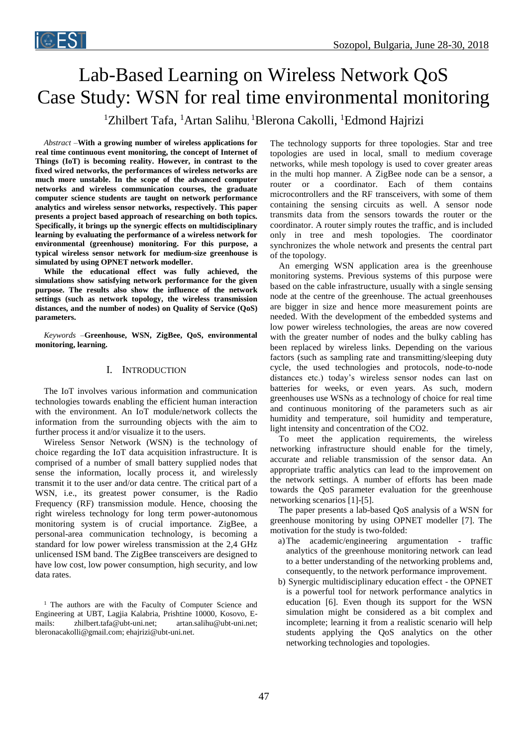

# Lab-Based Learning on Wireless Network QoS Case Study: WSN for real time environmental monitoring

<sup>1</sup>Zhilbert Tafa, <sup>1</sup>Artan Salihu, <sup>1</sup>Blerona Cakolli, <sup>1</sup>Edmond Hajrizi

*Abstract –***With a growing number of wireless applications for real time continuous event monitoring, the concept of Internet of Things (IoT) is becoming reality. However, in contrast to the fixed wired networks, the performances of wireless networks are much more unstable. In the scope of the advanced computer networks and wireless communication courses, the graduate computer science students are taught on network performance analytics and wireless sensor networks, respectively. This paper presents a project based approach of researching on both topics. Specifically, it brings up the synergic effects on multidisciplinary learning by evaluating the performance of a wireless network for environmental (greenhouse) monitoring. For this purpose, a typical wireless sensor network for medium-size greenhouse is simulated by using OPNET network modeller.**

**While the educational effect was fully achieved, the simulations show satisfying network performance for the given purpose. The results also show the influence of the network settings (such as network topology, the wireless transmission distances, and the number of nodes) on Quality of Service (QoS) parameters.** 

*Keywords –***Greenhouse, WSN, ZigBee, QoS, environmental monitoring, learning.**

## I. INTRODUCTION

The IoT involves various information and communication technologies towards enabling the efficient human interaction with the environment. An IoT module/network collects the information from the surrounding objects with the aim to further process it and/or visualize it to the users.

Wireless Sensor Network (WSN) is the technology of choice regarding the IoT data acquisition infrastructure. It is comprised of a number of small battery supplied nodes that sense the information, locally process it, and wirelessly transmit it to the user and/or data centre. The critical part of a WSN, i.e., its greatest power consumer, is the Radio Frequency (RF) transmission module. Hence, choosing the right wireless technology for long term power-autonomous monitoring system is of crucial importance. ZigBee, a personal-area communication technology, is becoming a standard for low power wireless transmission at the 2,4 GHz unlicensed ISM band. The ZigBee transceivers are designed to have low cost, low power consumption, high security, and low data rates.

The technology supports for three topologies. Star and tree topologies are used in local, small to medium coverage networks, while mesh topology is used to cover greater areas in the multi hop manner. A ZigBee node can be a sensor, a router or a coordinator. Each of them contains microcontrollers and the RF transceivers, with some of them containing the sensing circuits as well. A sensor node transmits data from the sensors towards the router or the coordinator. A router simply routes the traffic, and is included only in tree and mesh topologies. The coordinator synchronizes the whole network and presents the central part of the topology.

An emerging WSN application area is the greenhouse monitoring systems. Previous systems of this purpose were based on the cable infrastructure, usually with a single sensing node at the centre of the greenhouse. The actual greenhouses are bigger in size and hence more measurement points are needed. With the development of the embedded systems and low power wireless technologies, the areas are now covered with the greater number of nodes and the bulky cabling has been replaced by wireless links. Depending on the various factors (such as sampling rate and transmitting/sleeping duty cycle, the used technologies and protocols, node-to-node distances etc.) today's wireless sensor nodes can last on batteries for weeks, or even years. As such, modern greenhouses use WSNs as a technology of choice for real time and continuous monitoring of the parameters such as air humidity and temperature, soil humidity and temperature, light intensity and concentration of the CO2.

To meet the application requirements, the wireless networking infrastructure should enable for the timely, accurate and reliable transmission of the sensor data. An appropriate traffic analytics can lead to the improvement on the network settings. A number of efforts has been made towards the QoS parameter evaluation for the greenhouse networking scenarios [1]-[5].

The paper presents a lab-based QoS analysis of a WSN for greenhouse monitoring by using OPNET modeller [7]. The motivation for the study is two-folded:

- a)The academic/engineering argumentation traffic analytics of the greenhouse monitoring network can lead to a better understanding of the networking problems and, consequently, to the network performance improvement.
- b) Synergic multidisciplinary education effect the OPNET is a powerful tool for network performance analytics in education [6]. Even though its support for the WSN simulation might be considered as a bit complex and incomplete; learning it from a realistic scenario will help students applying the QoS analytics on the other networking technologies and topologies.

<sup>&</sup>lt;sup>1</sup> The authors are with the Faculty of Computer Science and Engineering at UBT, Lagjia Kalabria, Prishtine 10000, Kosovo, Emails: [zhilbert.tafa@ubt-uni.net;](mailto:zhilbert.tafa@ubt-uni.net) [artan.salihu@ubt-uni.net;](mailto:artan.salihu@ubt-uni.net) [bleronacakolli@gmail.com;](mailto:bleronacakolli@gmail.com) [ehajrizi@ubt-uni.net.](mailto:ehajrizi@ubt-uni.net)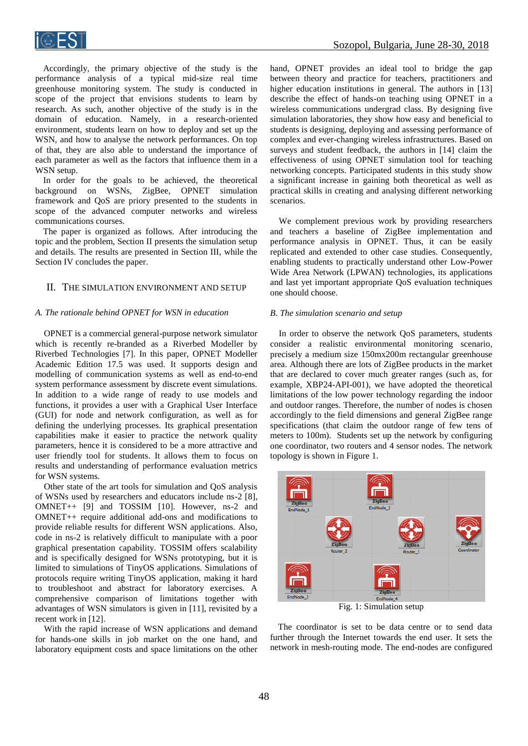

Accordingly, the primary objective of the study is the performance analysis of a typical mid-size real time greenhouse monitoring system. The study is conducted in scope of the project that envisions students to learn by research. As such, another objective of the study is in the domain of education. Namely, in a research-oriented environment, students learn on how to deploy and set up the WSN, and how to analyse the network performances. On top of that, they are also able to understand the importance of each parameter as well as the factors that influence them in a WSN setup.

In order for the goals to be achieved, the theoretical background on WSNs, ZigBee, OPNET simulation framework and QoS are priory presented to the students in scope of the advanced computer networks and wireless communications courses.

The paper is organized as follows. After introducing the topic and the problem, Section II presents the simulation setup and details. The results are presented in Section III, while the Section IV concludes the paper.

## II. THE SIMULATION ENVIRONMENT AND SETUP

#### *A. The rationale behind OPNET for WSN in education*

OPNET is a commercial general-purpose network simulator which is recently re-branded as a Riverbed Modeller by Riverbed Technologies [7]. In this paper, OPNET Modeller Academic Edition 17.5 was used. It supports design and modelling of communication systems as well as end-to-end system performance assessment by discrete event simulations. In addition to a wide range of ready to use models and functions, it provides a user with a Graphical User Interface (GUI) for node and network configuration, as well as for defining the underlying processes. Its graphical presentation capabilities make it easier to practice the network quality parameters, hence it is considered to be a more attractive and user friendly tool for students. It allows them to focus on results and understanding of performance evaluation metrics for WSN systems.

Other state of the art tools for simulation and QoS analysis of WSNs used by researchers and educators include ns-2 [8], OMNET++ [9] and TOSSIM [10]. However, ns-2 and OMNET++ require additional add-ons and modifications to provide reliable results for different WSN applications. Also, code in ns-2 is relatively difficult to manipulate with a poor graphical presentation capability. TOSSIM offers scalability and is specifically designed for WSNs prototyping, but it is limited to simulations of TinyOS applications. Simulations of protocols require writing TinyOS application, making it hard to troubleshoot and abstract for laboratory exercises. A comprehensive comparison of limitations together with advantages of WSN simulators is given in [11], revisited by a recent work in [12].

With the rapid increase of WSN applications and demand for hands-one skills in job market on the one hand, and laboratory equipment costs and space limitations on the other hand, OPNET provides an ideal tool to bridge the gap between theory and practice for teachers, practitioners and higher education institutions in general. The authors in [13] describe the effect of hands-on teaching using OPNET in a wireless communications undergrad class. By designing five simulation laboratories, they show how easy and beneficial to students is designing, deploying and assessing performance of complex and ever-changing wireless infrastructures. Based on surveys and student feedback, the authors in [14] claim the effectiveness of using OPNET simulation tool for teaching networking concepts. Participated students in this study show a significant increase in gaining both theoretical as well as practical skills in creating and analysing different networking scenarios.

We complement previous work by providing researchers and teachers a baseline of ZigBee implementation and performance analysis in OPNET. Thus, it can be easily replicated and extended to other case studies. Consequently, enabling students to practically understand other Low-Power Wide Area Network (LPWAN) technologies, its applications and last yet important appropriate QoS evaluation techniques one should choose.

#### *B. The simulation scenario and setup*

In order to observe the network QoS parameters, students consider a realistic environmental monitoring scenario, precisely a medium size 150mx200m rectangular greenhouse area. Although there are lots of ZigBee products in the market that are declared to cover much greater ranges (such as, for example, XBP24-API-001), we have adopted the theoretical limitations of the low power technology regarding the indoor and outdoor ranges. Therefore, the number of nodes is chosen accordingly to the field dimensions and general ZigBee range specifications (that claim the outdoor range of few tens of meters to 100m). Students set up the network by configuring one coordinator, two routers and 4 sensor nodes. The network topology is shown in Figure 1.



Fig. 1: Simulation setup

The coordinator is set to be data centre or to send data further through the Internet towards the end user. It sets the network in mesh-routing mode. The end-nodes are configured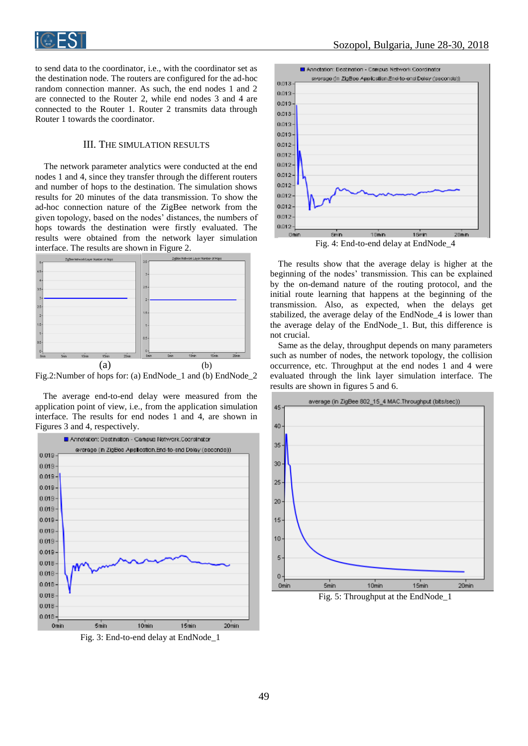

to send data to the coordinator, i.e., with the coordinator set as the destination node. The routers are configured for the ad-hoc random connection manner. As such, the end nodes 1 and 2 are connected to the Router 2, while end nodes 3 and 4 are connected to the Router 1. Router 2 transmits data through Router 1 towards the coordinator.

# III. THE SIMULATION RESULTS

The network parameter analytics were conducted at the end nodes 1 and 4, since they transfer through the different routers and number of hops to the destination. The simulation shows results for 20 minutes of the data transmission. To show the ad-hoc connection nature of the ZigBee network from the given topology, based on the nodes' distances, the numbers of hops towards the destination were firstly evaluated. The results were obtained from the network layer simulation interface. The results are shown in Figure 2.



Fig.2:Number of hops for: (a) EndNode\_1 and (b) EndNode\_2

The average end-to-end delay were measured from the application point of view, i.e., from the application simulation interface. The results for end nodes 1 and 4, are shown in Figures 3 and 4, respectively.



Fig. 3: End-to-end delay at EndNode\_1



The results show that the average delay is higher at the beginning of the nodes' transmission. This can be explained by the on-demand nature of the routing protocol, and the initial route learning that happens at the beginning of the transmission. Also, as expected, when the delays get stabilized, the average delay of the EndNode\_4 is lower than the average delay of the EndNode\_1. But, this difference is not crucial.

Same as the delay, throughput depends on many parameters such as number of nodes, the network topology, the collision occurrence, etc. Throughput at the end nodes 1 and 4 were evaluated through the link layer simulation interface. The results are shown in figures 5 and 6.



Fig. 5: Throughput at the EndNode\_1